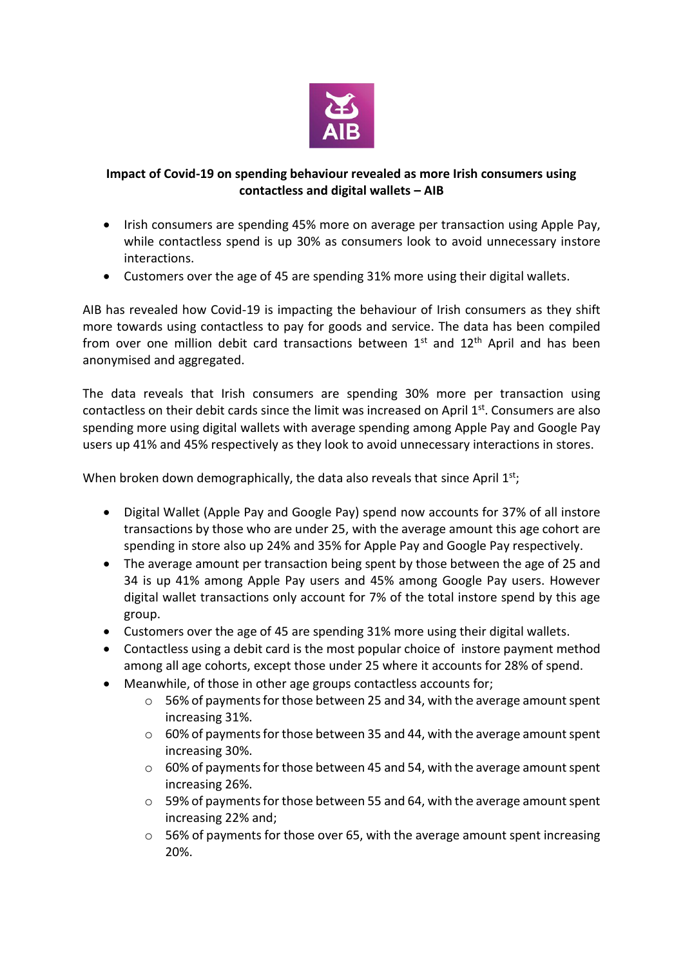

## **Impact of Covid-19 on spending behaviour revealed as more Irish consumers using contactless and digital wallets – AIB**

- Irish consumers are spending 45% more on average per transaction using Apple Pay, while contactless spend is up 30% as consumers look to avoid unnecessary instore interactions.
- Customers over the age of 45 are spending 31% more using their digital wallets.

AIB has revealed how Covid-19 is impacting the behaviour of Irish consumers as they shift more towards using contactless to pay for goods and service. The data has been compiled from over one million debit card transactions between  $1<sup>st</sup>$  and  $12<sup>th</sup>$  April and has been anonymised and aggregated.

The data reveals that Irish consumers are spending 30% more per transaction using contactless on their debit cards since the limit was increased on April  $1<sup>st</sup>$ . Consumers are also spending more using digital wallets with average spending among Apple Pay and Google Pay users up 41% and 45% respectively as they look to avoid unnecessary interactions in stores.

When broken down demographically, the data also reveals that since April  $1^{st}$ ;

- Digital Wallet (Apple Pay and Google Pay) spend now accounts for 37% of all instore transactions by those who are under 25, with the average amount this age cohort are spending in store also up 24% and 35% for Apple Pay and Google Pay respectively.
- The average amount per transaction being spent by those between the age of 25 and 34 is up 41% among Apple Pay users and 45% among Google Pay users. However digital wallet transactions only account for 7% of the total instore spend by this age group.
- Customers over the age of 45 are spending 31% more using their digital wallets.
- Contactless using a debit card is the most popular choice of instore payment method among all age cohorts, except those under 25 where it accounts for 28% of spend.
- Meanwhile, of those in other age groups contactless accounts for;
	- o 56% of payments for those between 25 and 34, with the average amount spent increasing 31%.
	- o 60% of payments for those between 35 and 44, with the average amount spent increasing 30%.
	- o 60% of payments for those between 45 and 54, with the average amount spent increasing 26%.
	- $\circ$  59% of payments for those between 55 and 64, with the average amount spent increasing 22% and;
	- o 56% of payments for those over 65, with the average amount spent increasing 20%.